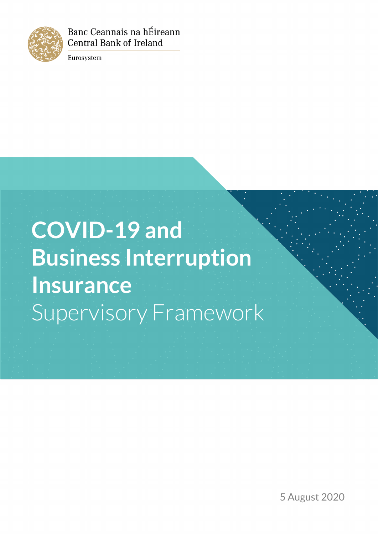

Banc Ceannais na hÉireann **Central Bank of Ireland** 

Eurosystem

# **COVID-19 and Business Interruption Insurance** Supervisory Framework

5 August 2020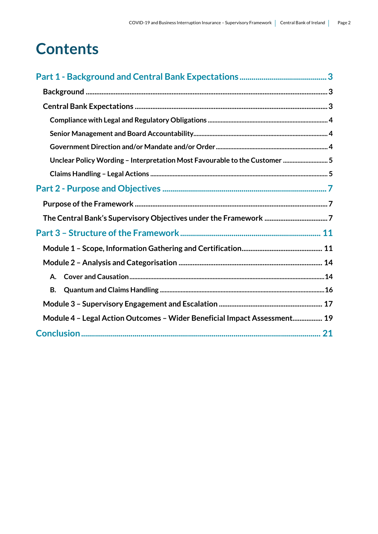## **Contents**

| Unclear Policy Wording - Interpretation Most Favourable to the Customer  5 |
|----------------------------------------------------------------------------|
|                                                                            |
|                                                                            |
|                                                                            |
|                                                                            |
|                                                                            |
|                                                                            |
|                                                                            |
| А.                                                                         |
| В.                                                                         |
|                                                                            |
| Module 4 - Legal Action Outcomes - Wider Beneficial Impact Assessment 19   |
|                                                                            |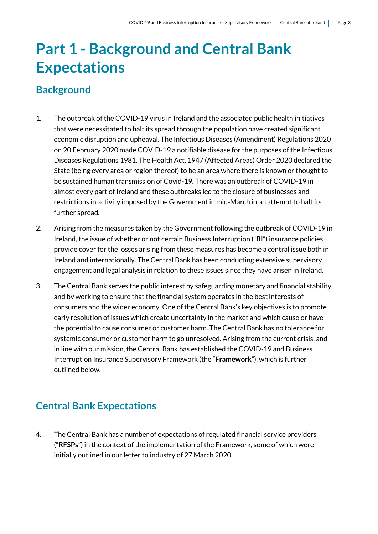## <span id="page-2-0"></span>**Part 1 - Background and Central Bank Expectations**

### <span id="page-2-1"></span>**Background**

- 1. The outbreak of the COVID-19 virus in Ireland and the associated public health initiatives that were necessitated to halt its spread through the population have created significant economic disruption and upheaval. The Infectious Diseases (Amendment) Regulations 2020 on 20 February 2020 made COVID-19 a notifiable disease for the purposes of the Infectious Diseases Regulations 1981. The Health Act, 1947 (Affected Areas) Order 2020 declared the State (being every area or region thereof) to be an area where there is known or thought to be sustained human transmission of Covid-19. There was an outbreak of COVID-19 in almost every part of Ireland and these outbreaks led to the closure of businesses and restrictions in activity imposed by the Government in mid-March in an attempt to halt its further spread.
- 2. Arising from the measures taken by the Government following the outbreak of COVID-19 in Ireland, the issue of whether or not certain Business Interruption ("**BI**") insurance policies provide cover for the losses arising from these measures has become a central issue both in Ireland and internationally. The Central Bank has been conducting extensive supervisory engagement and legal analysis in relation to these issues since they have arisen in Ireland.
- 3. The Central Bank serves the public interest by safeguarding monetary and financial stability and by working to ensure that the financial system operates in the best interests of consumers and the wider economy. One of the Central Bank's key objectives is to promote early resolution of issues which create uncertainty in the market and which cause or have the potential to cause consumer or customer harm. The Central Bank has no tolerance for systemic consumer or customer harm to go unresolved. Arising from the current crisis, and in line with our mission, the Central Bank has established the COVID-19 and Business Interruption Insurance Supervisory Framework (the "**Framework**"), which is further outlined below.

## <span id="page-2-2"></span>**Central Bank Expectations**

4. The Central Bank has a number of expectations of regulated financial service providers ("**RFSPs**") in the context of the implementation of the Framework, some of which were initially outlined in our letter to industry of 27 March 2020.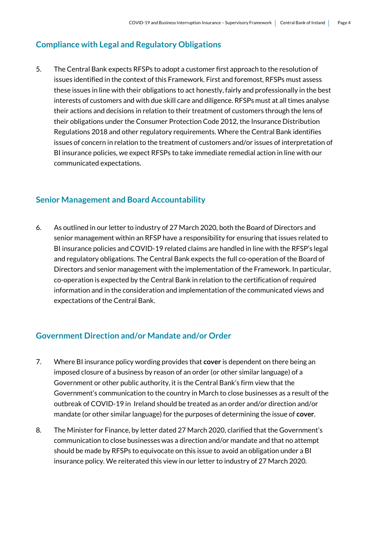#### <span id="page-3-0"></span>**Compliance with Legal and Regulatory Obligations**

5. The Central Bank expects RFSPs to adopt a customer first approach to the resolution of issues identified in the context of this Framework. First and foremost, RFSPs must assess these issues in line with their obligations to act honestly, fairly and professionally in the best interests of customers and with due skill care and diligence. RFSPs must at all times analyse their actions and decisions in relation to their treatment of customers through the lens of their obligations under the Consumer Protection Code 2012, the Insurance Distribution Regulations 2018 and other regulatory requirements. Where the Central Bank identifies issues of concern in relation to the treatment of customers and/or issues of interpretation of BI insurance policies, we expect RFSPs to take immediate remedial action in line with our communicated expectations.

#### <span id="page-3-1"></span>**Senior Management and Board Accountability**

6. As outlined in our letter to industry of 27 March 2020, both the Board of Directors and senior management within an RFSP have a responsibility for ensuring that issues related to BI insurance policies and COVID-19 related claims are handled in line with the RFSP's legal and regulatory obligations. The Central Bank expects the full co-operation of the Board of Directors and senior management with the implementation of the Framework. In particular, co-operation is expected by the Central Bank in relation to the certification of required information and in the consideration and implementation of the communicated views and expectations of the Central Bank.

#### <span id="page-3-2"></span>**Government Direction and/or Mandate and/or Order**

- 7. Where BI insurance policy wording provides that **cover** is dependent on there being an imposed closure of a business by reason of an order (or other similar language) of a Government or other public authority, it is the Central Bank's firm view that the Government's communication to the country in March to close businesses as a result of the outbreak of COVID-19 in Ireland should be treated as an order and/or direction and/or mandate (or other similar language) for the purposes of determining the issue of **cover**.
- 8. The Minister for Finance, by letter dated 27 March 2020, clarified that the Government's communication to close businesses was a direction and/or mandate and that no attempt should be made by RFSPs to equivocate on this issue to avoid an obligation under a BI insurance policy. We reiterated this view in our letter to industry of 27 March 2020.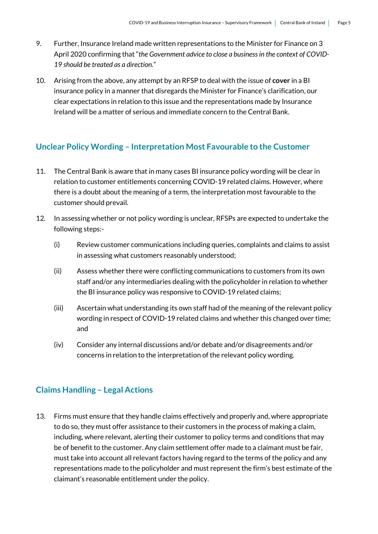- 9. Further, Insurance Ireland made written representations to the Minister for Finance on 3 April 2020 confirming that "*the Government advice to close a business in the context of COVID-19 should be treated as a direction.*"
- 10. Arising from the above, any attempt by an RFSP to deal with the issue of **cover** in a BI insurance policy in a manner that disregards the Minister for Finance's clarification, our clear expectations in relation to this issue and the representations made by Insurance Ireland will be a matter of serious and immediate concern to the Central Bank.

#### <span id="page-4-0"></span>**Unclear Policy Wording – Interpretation Most Favourable to the Customer**

- 11. The Central Bank is aware that in many cases BI insurance policy wording will be clear in relation to customer entitlements concerning COVID-19 related claims. However, where there is a doubt about the meaning of a term, the interpretation most favourable to the customer should prevail.
- 12. In assessing whether or not policy wording is unclear, RFSPs are expected to undertake the following steps:-
	- (i) Review customer communications including queries, complaints and claims to assist in assessing what customers reasonably understood;
	- (ii) Assess whether there were conflicting communications to customers from its own staff and/or any intermediaries dealing with the policyholder in relation to whether the BI insurance policy was responsive to COVID-19 related claims;
	- (iii) Ascertain what understanding its own staff had of the meaning of the relevant policy wording in respect of COVID-19 related claims and whether this changed over time; and
	- (iv) Consider any internal discussions and/or debate and/or disagreements and/or concerns in relation to the interpretation of the relevant policy wording.

#### <span id="page-4-1"></span>**Claims Handling – Legal Actions**

13. Firms must ensure that they handle claims effectively and properly and, where appropriate to do so, they must offer assistance to their customers in the process of making a claim, including, where relevant, alerting their customer to policy terms and conditions that may be of benefit to the customer. Any claim settlement offer made to a claimant must be fair, must take into account all relevant factors having regard to the terms of the policy and any representations made to the policyholder and must represent the firm's best estimate of the claimant's reasonable entitlement under the policy.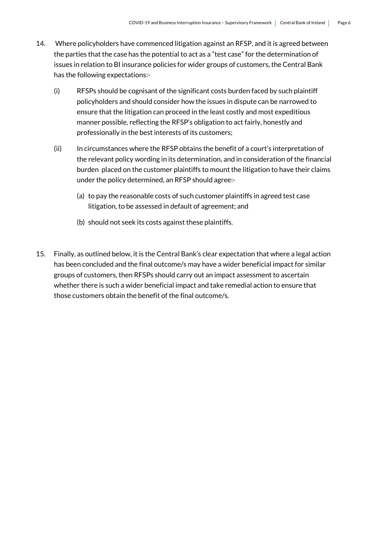- 14. Where policyholders have commenced litigation against an RFSP, and it is agreed between the parties that the case has the potential to act as a "test case" for the determination of issues in relation to BI insurance policies for wider groups of customers, the Central Bank has the following expectations:-
	- (i) RFSPs should be cognisant of the significant costs burden faced by such plaintiff policyholders and should consider how the issues in dispute can be narrowed to ensure that the litigation can proceed in the least costly and most expeditious manner possible, reflecting the RFSP's obligation to act fairly, honestly and professionally in the best interests of its customers;
	- (ii) In circumstances where the RFSP obtains the benefit of a court's interpretation of the relevant policy wording in its determination, and in consideration of the financial burden placed on the customer plaintiffs to mount the litigation to have their claims under the policy determined, an RFSP should agree:-
		- (a) to pay the reasonable costs of such customer plaintiffs in agreed test case litigation, to be assessed in default of agreement; and
		- (b) should not seek its costs against these plaintiffs.
- 15. Finally, as outlined below, it is the Central Bank's clear expectation that where a legal action has been concluded and the final outcome/s may have a wider beneficial impact for similar groups of customers, then RFSPs should carry out an impact assessment to ascertain whether there is such a wider beneficial impact and take remedial action to ensure that those customers obtain the benefit of the final outcome/s.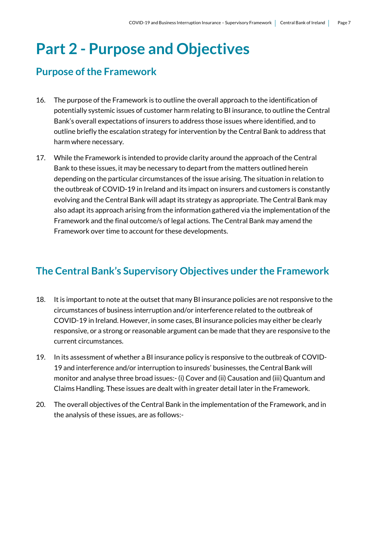## <span id="page-6-0"></span>**Part 2 - Purpose and Objectives**

### <span id="page-6-1"></span>**Purpose of the Framework**

- 16. The purpose of the Framework is to outline the overall approach to the identification of potentially systemic issues of customer harm relating to BI insurance, to outline the Central Bank's overall expectations of insurers to address those issues where identified, and to outline briefly the escalation strategy for intervention by the Central Bank to address that harm where necessary.
- 17. While the Framework is intended to provide clarity around the approach of the Central Bank to these issues, it may be necessary to depart from the matters outlined herein depending on the particular circumstances of the issue arising. The situation in relation to the outbreak of COVID-19 in Ireland and its impact on insurers and customers is constantly evolving and the Central Bank will adapt its strategy as appropriate. The Central Bank may also adapt its approach arising from the information gathered via the implementation of the Framework and the final outcome/s of legal actions. The Central Bank may amend the Framework over time to account for these developments.

## <span id="page-6-2"></span>**The Central Bank's Supervisory Objectives under the Framework**

- 18. It is important to note at the outset that many BI insurance policies are not responsive to the circumstances of business interruption and/or interference related to the outbreak of COVID-19 in Ireland. However, in some cases, BI insurance policies may either be clearly responsive, or a strong or reasonable argument can be made that they are responsive to the current circumstances.
- 19. In its assessment of whether a BI insurance policy is responsive to the outbreak of COVID-19 and interference and/or interruption to insureds' businesses, the Central Bank will monitor and analyse three broad issues:- (i) Cover and (ii) Causation and (iii) Quantum and Claims Handling. These issues are dealt with in greater detail later in the Framework.
- 20. The overall objectives of the Central Bank in the implementation of the Framework, and in the analysis of these issues, are as follows:-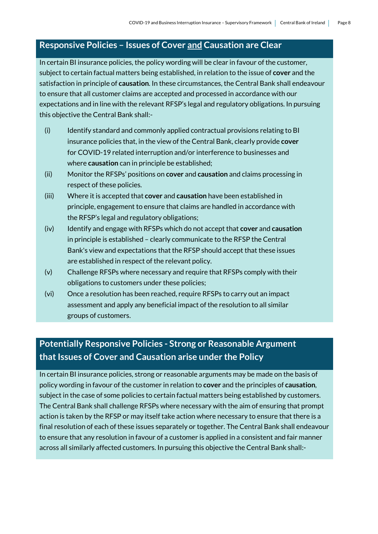#### **Responsive Policies – Issues of Cover and Causation are Clear**

In certain BI insurance policies, the policy wording will be clear in favour of the customer, subject to certain factual matters being established, in relation to the issue of **cover** and the satisfaction in principle of **causation**. In these circumstances, the Central Bank shall endeavour to ensure that all customer claims are accepted and processed in accordance with our expectations and in line with the relevant RFSP's legal and regulatory obligations. In pursuing this objective the Central Bank shall:-

- (i) Identify standard and commonly applied contractual provisions relating to BI insurance policies that, in the view of the Central Bank, clearly provide **cover** for COVID-19 related interruption and/or interference to businesses and where **causation** can in principle be established;
- (ii) Monitor the RFSPs' positions on **cover** and **causation** and claims processing in respect of these policies.
- (iii) Where it is accepted that **cover** and **causation** have been established in principle, engagement to ensure that claims are handled in accordance with the RFSP's legal and regulatory obligations;
- (iv) Identify and engage with RFSPs which do not accept that **cover** and **causation** in principle is established – clearly communicate to the RFSP the Central Bank's view and expectations that the RFSP should accept that these issues are established in respect of the relevant policy.
- (v) Challenge RFSPs where necessary and require that RFSPs comply with their obligations to customers under these policies;
- (vi) Once a resolution has been reached, require RFSPs to carry out an impact assessment and apply any beneficial impact of the resolution to all similar groups of customers.

## **Potentially Responsive Policies - Strong or Reasonable Argument that Issues of Cover and Causation arise under the Policy**

In certain BI insurance policies, strong or reasonable arguments may be made on the basis of policy wording in favour of the customer in relation to **cover** and the principles of **causation**, subject in the case of some policies to certain factual matters being established by customers. The Central Bank shall challenge RFSPs where necessary with the aim of ensuring that prompt action is taken by the RFSP or may itself take action where necessary to ensure that there is a final resolution of each of these issues separately or together. The Central Bank shall endeavour to ensure that any resolution in favour of a customer is applied in a consistent and fair manner across all similarly affected customers. In pursuing this objective the Central Bank shall:-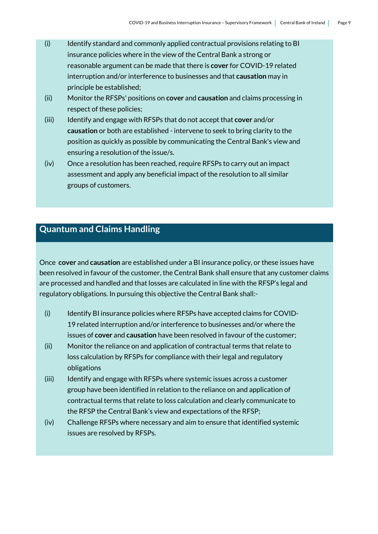- (i) Identify standard and commonly applied contractual provisions relating to BI insurance policies where in the view of the Central Bank a strong or reasonable argument can be made that there is **cover** for COVID-19 related interruption and/or interference to businesses and that **causation** may in principle be established;
- (ii) Monitor the RFSPs' positions on **cover** and **causation** and claims processing in respect of these policies;
- (iii) Identify and engage with RFSPs that do not accept that **cover** and/or **causation** or both are established - intervene to seek to bring clarity to the position as quickly as possible by communicating the Central Bank's view and ensuring a resolution of the issue/s.
- (iv) Once a resolution has been reached, require RFSPs to carry out an impact assessment and apply any beneficial impact of the resolution to all similar groups of customers.

## **Quantum and Claims Handling**

Once **cover** and **causation** are established under a BI insurance policy, or these issues have been resolved in favour of the customer, the Central Bank shall ensure that any customer claims are processed and handled and that losses are calculated in line with the RFSP's legal and regulatory obligations. In pursuing this objective the Central Bank shall:-

- (i) Identify BI insurance policies where RFSPs have accepted claims for COVID-19 related interruption and/or interference to businesses and/or where the issues of **cover** and **causation** have been resolved in favour of the customer;
- (ii) Monitor the reliance on and application of contractual terms that relate to loss calculation by RFSPs for compliance with their legal and regulatory obligations
- (iii) Identify and engage with RFSPs where systemic issues across a customer group have been identified in relation to the reliance on and application of contractual terms that relate to loss calculation and clearly communicate to the RFSP the Central Bank's view and expectations of the RFSP;
- (iv) Challenge RFSPs where necessary and aim to ensure that identified systemic issues are resolved by RFSPs.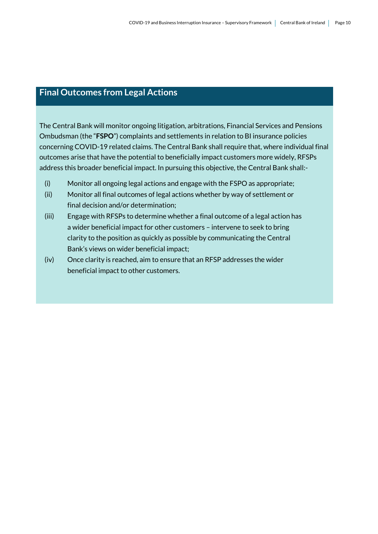### **Final Outcomes from Legal Actions**

The Central Bank will monitor ongoing litigation, arbitrations, Financial Services and Pensions Ombudsman (the "**FSPO**") complaints and settlements in relation to BI insurance policies concerning COVID-19 related claims. The Central Bank shall require that, where individual final outcomes arise that have the potential to beneficially impact customers more widely, RFSPs address this broader beneficial impact. In pursuing this objective, the Central Bank shall:-

- (i) Monitor all ongoing legal actions and engage with the FSPO as appropriate;
- (ii) Monitor all final outcomes of legal actions whether by way of settlement or final decision and/or determination;
- (iii) Engage with RFSPs to determine whether a final outcome of a legal action has a wider beneficial impact for other customers – intervene to seek to bring clarity to the position as quickly as possible by communicating the Central Bank's views on wider beneficial impact;
- (iv) Once clarity is reached, aim to ensure that an RFSP addresses the wider beneficial impact to other customers.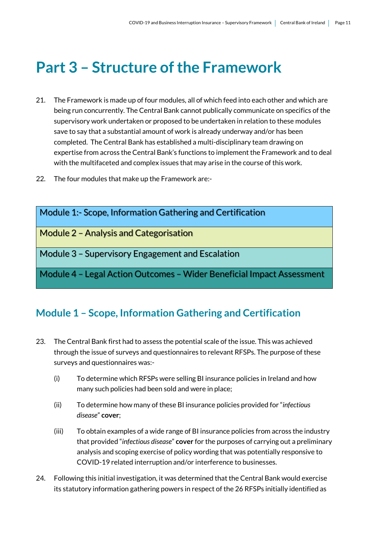## <span id="page-10-0"></span>**Part 3 – Structure of the Framework**

- 21. The Framework is made up of four modules, all of which feed into each other and which are being run concurrently. The Central Bank cannot publically communicate on specifics of the supervisory work undertaken or proposed to be undertaken in relation to these modules save to say that a substantial amount of work is already underway and/or has been completed. The Central Bank has established a multi-disciplinary team drawing on expertise from across the Central Bank's functions to implement the Framework and to deal with the multifaceted and complex issues that may arise in the course of this work.
- 22. The four modules that make up the Framework are:-

| <b>Module 1:- Scope, Information Gathering and Certification</b>      |
|-----------------------------------------------------------------------|
| <b>Module 2 - Analysis and Categorisation</b>                         |
| Module 3 - Supervisory Engagement and Escalation                      |
| Module 4 - Legal Action Outcomes - Wider Beneficial Impact Assessment |

### <span id="page-10-1"></span>**Module 1 – Scope, Information Gathering and Certification**

- 23. The Central Bank first had to assess the potential scale of the issue. This was achieved through the issue of surveys and questionnaires to relevant RFSPs. The purpose of these surveys and questionnaires was:-
	- (i) To determine which RFSPs were selling BI insurance policies in Ireland and how many such policies had been sold and were in place;
	- (ii) To determine how many of these BI insurance policies provided for "*infectious disease*" **cover**;
	- (iii) To obtain examples of a wide range of BI insurance policies from across the industry that provided "*infectious disease*" **cover** for the purposes of carrying out a preliminary analysis and scoping exercise of policy wording that was potentially responsive to COVID-19 related interruption and/or interference to businesses.
- 24. Following this initial investigation, it was determined that the Central Bank would exercise its statutory information gathering powers in respect of the 26 RFSPs initially identified as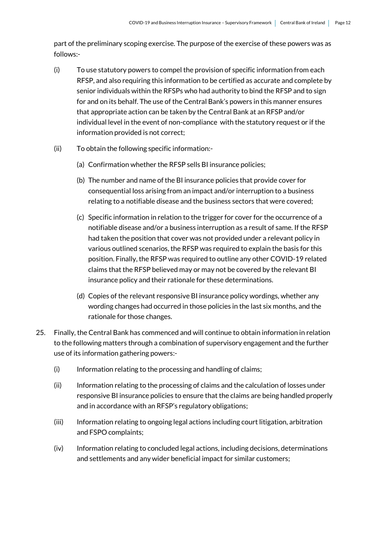part of the preliminary scoping exercise. The purpose of the exercise of these powers was as follows:-

- (i) To use statutory powers to compel the provision of specific information from each RFSP, and also requiring this information to be certified as accurate and complete by senior individuals within the RFSPs who had authority to bind the RFSP and to sign for and on its behalf. The use of the Central Bank's powers in this manner ensures that appropriate action can be taken by the Central Bank at an RFSP and/or individual level in the event of non-compliance with the statutory request or if the information provided is not correct;
- (ii) To obtain the following specific information:-
	- (a) Confirmation whether the RFSP sells BI insurance policies;
	- (b) The number and name of the BI insurance policies that provide cover for consequential loss arising from an impact and/or interruption to a business relating to a notifiable disease and the business sectors that were covered;
	- (c) Specific information in relation to the trigger for cover for the occurrence of a notifiable disease and/or a business interruption as a result of same. If the RFSP had taken the position that cover was not provided under a relevant policy in various outlined scenarios, the RFSP was required to explain the basis for this position. Finally, the RFSP was required to outline any other COVID-19 related claims that the RFSP believed may or may not be covered by the relevant BI insurance policy and their rationale for these determinations.
	- (d) Copies of the relevant responsive BI insurance policy wordings, whether any wording changes had occurred in those policies in the last six months, and the rationale for those changes.
- 25. Finally, the Central Bank has commenced and will continue to obtain information in relation to the following matters through a combination of supervisory engagement and the further use of its information gathering powers:-
	- (i) Information relating to the processing and handling of claims;
	- (ii) Information relating to the processing of claims and the calculation of losses under responsive BI insurance policies to ensure that the claims are being handled properly and in accordance with an RFSP's regulatory obligations;
	- (iii) Information relating to ongoing legal actions including court litigation, arbitration and FSPO complaints;
	- (iv) Information relating to concluded legal actions, including decisions, determinations and settlements and any wider beneficial impact for similar customers;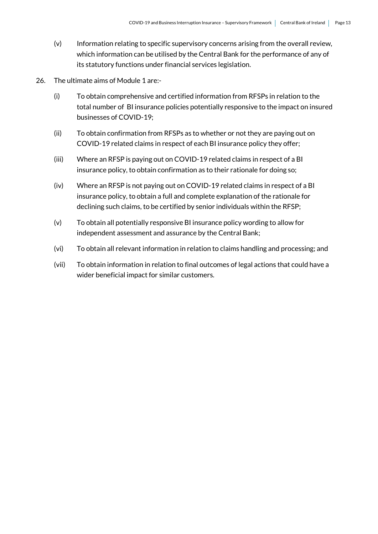- (v) Information relating to specific supervisory concerns arising from the overall review, which information can be utilised by the Central Bank for the performance of any of its statutory functions under financial services legislation.
- 26. The ultimate aims of Module 1 are:-
	- (i) To obtain comprehensive and certified information from RFSPs in relation to the total number of BI insurance policies potentially responsive to the impact on insured businesses of COVID-19;
	- (ii) To obtain confirmation from RFSPs as to whether or not they are paying out on COVID-19 related claims in respect of each BI insurance policy they offer;
	- (iii) Where an RFSP is paying out on COVID-19 related claims in respect of a BI insurance policy, to obtain confirmation as to their rationale for doing so;
	- (iv) Where an RFSP is not paying out on COVID-19 related claims in respect of a BI insurance policy, to obtain a full and complete explanation of the rationale for declining such claims, to be certified by senior individuals within the RFSP;
	- (v) To obtain all potentially responsive BI insurance policy wording to allow for independent assessment and assurance by the Central Bank;
	- (vi) To obtain all relevant information in relation to claims handling and processing; and
	- (vii) To obtain information in relation to final outcomes of legal actions that could have a wider beneficial impact for similar customers.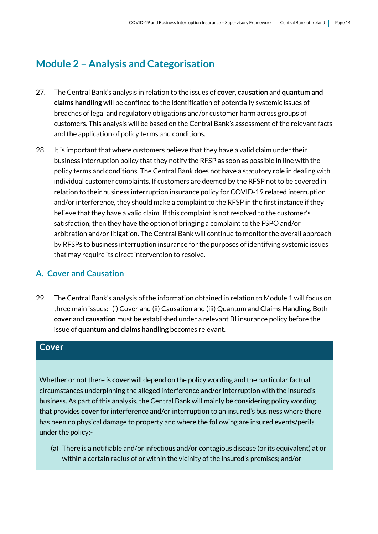## <span id="page-13-0"></span>**Module 2 – Analysis and Categorisation**

- 27. The Central Bank's analysis in relation to the issues of **cover**, **causation** and **quantum and claims handling** will be confined to the identification of potentially systemic issues of breaches of legal and regulatory obligations and/or customer harm across groups of customers. This analysis will be based on the Central Bank's assessment of the relevant facts and the application of policy terms and conditions.
- 28. It is important that where customers believe that they have a valid claim under their business interruption policy that they notify the RFSP as soon as possible in line with the policy terms and conditions. The Central Bank does not have a statutory role in dealing with individual customer complaints. If customers are deemed by the RFSP not to be covered in relation to their business interruption insurance policy for COVID-19 related interruption and/or interference, they should make a complaint to the RFSP in the first instance if they believe that they have a valid claim. If this complaint is not resolved to the customer's satisfaction, then they have the option of bringing a complaint to the FSPO and/or arbitration and/or litigation. The Central Bank will continue to monitor the overall approach by RFSPs to business interruption insurance for the purposes of identifying systemic issues that may require its direct intervention to resolve.

#### <span id="page-13-1"></span>**A. Cover and Causation**

29. The Central Bank's analysis of the information obtained in relation to Module 1 will focus on three main issues:- (i) Cover and (ii) Causation and (iii) Quantum and Claims Handling. Both **cover** and **causation** must be established under a relevant BI insurance policy before the issue of **quantum and claims handling** becomes relevant.

#### **Cover**

Whether or not there is **cover** will depend on the policy wording and the particular factual circumstances underpinning the alleged interference and/or interruption with the insured's business. As part of this analysis, the Central Bank will mainly be considering policy wording that provides **cover** for interference and/or interruption to an insured's business where there has been no physical damage to property and where the following are insured events/perils under the policy:-

(a) There is a notifiable and/or infectious and/or contagious disease (or its equivalent) at or within a certain radius of or within the vicinity of the insured's premises; and/or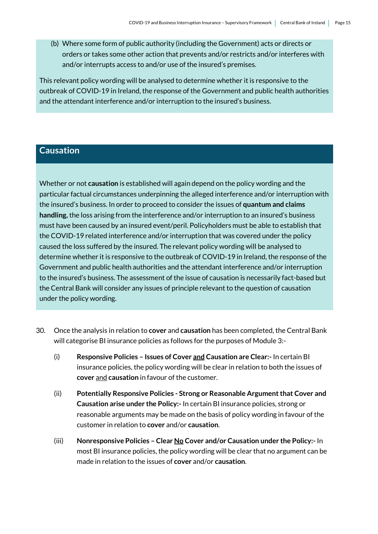(b) Where some form of public authority (including the Government) acts or directs or orders or takes some other action that prevents and/or restricts and/or interferes with and/or interrupts access to and/or use of the insured's premises.

This relevant policy wording will be analysed to determine whether it is responsive to the outbreak of COVID-19 in Ireland, the response of the Government and public health authorities and the attendant interference and/or interruption to the insured's business.

#### **Causation**

Whether or not **causation** is established will again depend on the policy wording and the particular factual circumstances underpinning the alleged interference and/or interruption with the insured's business. In order to proceed to consider the issues of **quantum and claims handling,** the loss arising from the interference and/or interruption to an insured's business must have been caused by an insured event/peril. Policyholders must be able to establish that the COVID-19 related interference and/or interruption that was covered under the policy caused the loss suffered by the insured. The relevant policy wording will be analysed to determine whether it is responsive to the outbreak of COVID-19 in Ireland, the response of the Government and public health authorities and the attendant interference and/or interruption to the insured's business. The assessment of the issue of causation is necessarily fact-based but the Central Bank will consider any issues of principle relevant to the question of causation under the policy wording.

- 30. Once the analysis in relation to **cover** and **causation** has been completed, the Central Bank will categorise BI insurance policies as follows for the purposes of Module 3:-
	- (i) **Responsive Policies – Issues of Cover and Causation are Clear:-** In certain BI insurance policies, the policy wording will be clear in relation to both the issues of **cover** and **causation** in favour of the customer.
	- (ii) **Potentially Responsive Policies - Strong or Reasonable Argument that Cover and Causation arise under the Policy:-** In certain BI insurance policies, strong or reasonable arguments may be made on the basis of policy wording in favour of the customer in relation to **cover** and/or **causation**.
	- (iii) **Nonresponsive Policies – Clear No Cover and/or Causation under the Policy:-** In most BI insurance policies, the policy wording will be clear that no argument can be made in relation to the issues of **cover** and/or **causation**.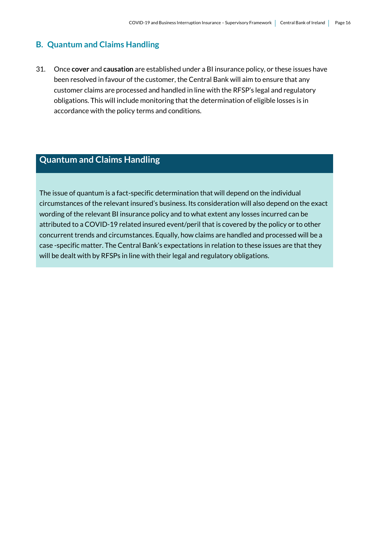#### <span id="page-15-0"></span>**B. Quantum and Claims Handling**

31. Once **cover** and **causation** are established under a BI insurance policy, or these issues have been resolved in favour of the customer, the Central Bank will aim to ensure that any customer claims are processed and handled in line with the RFSP's legal and regulatory obligations. This will include monitoring that the determination of eligible losses is in accordance with the policy terms and conditions.

### **Quantum and Claims Handling**

The issue of quantum is a fact-specific determination that will depend on the individual circumstances of the relevant insured's business. Its consideration will also depend on the exact wording of the relevant BI insurance policy and to what extent any losses incurred can be attributed to a COVID-19 related insured event/peril that is covered by the policy or to other concurrent trends and circumstances. Equally, how claims are handled and processed will be a case -specific matter. The Central Bank's expectations in relation to these issues are that they will be dealt with by RFSPs in line with their legal and regulatory obligations.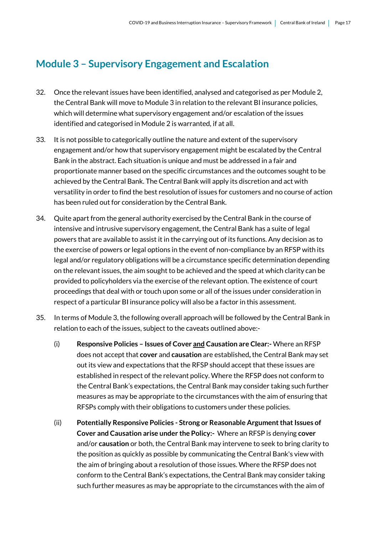## <span id="page-16-0"></span>**Module 3 – Supervisory Engagement and Escalation**

- 32. Once the relevant issues have been identified, analysed and categorised as per Module 2, the Central Bank will move to Module 3 in relation to the relevant BI insurance policies, which will determine what supervisory engagement and/or escalation of the issues identified and categorised in Module 2 is warranted, if at all.
- 33. It is not possible to categorically outline the nature and extent of the supervisory engagement and/or how that supervisory engagement might be escalated by the Central Bank in the abstract. Each situation is unique and must be addressed in a fair and proportionate manner based on the specific circumstances and the outcomes sought to be achieved by the Central Bank. The Central Bank will apply its discretion and act with versatility in order to find the best resolution of issues for customers and no course of action has been ruled out for consideration by the Central Bank.
- 34. Quite apart from the general authority exercised by the Central Bank in the course of intensive and intrusive supervisory engagement, the Central Bank has a suite of legal powers that are available to assist it in the carrying out of its functions. Any decision as to the exercise of powers or legal options in the event of non-compliance by an RFSP with its legal and/or regulatory obligations will be a circumstance specific determination depending on the relevant issues, the aim sought to be achieved and the speed at which clarity can be provided to policyholders via the exercise of the relevant option. The existence of court proceedings that deal with or touch upon some or all of the issues under consideration in respect of a particular BI insurance policy will also be a factor in this assessment.
- 35. In terms of Module 3, the following overall approach will be followed by the Central Bank in relation to each of the issues, subject to the caveats outlined above:-
	- (i) **Responsive Policies – Issues of Cover and Causation are Clear:-** Where an RFSP does not accept that **cover** and **causation** are established**,** the Central Bank may set out its view and expectations that the RFSP should accept that these issues are established in respect of the relevant policy. Where the RFSP does not conform to the Central Bank's expectations, the Central Bank may consider taking such further measures as may be appropriate to the circumstances with the aim of ensuring that RFSPs comply with their obligations to customers under these policies.
	- (ii) **Potentially Responsive Policies - Strong or Reasonable Argument that Issues of Cover and Causation arise under the Policy:-** Where an RFSP is denying **cover** and/or **causation** or both, the Central Bank may intervene to seek to bring clarity to the position as quickly as possible by communicating the Central Bank's view with the aim of bringing about a resolution of those issues. Where the RFSP does not conform to the Central Bank's expectations, the Central Bank may consider taking such further measures as may be appropriate to the circumstances with the aim of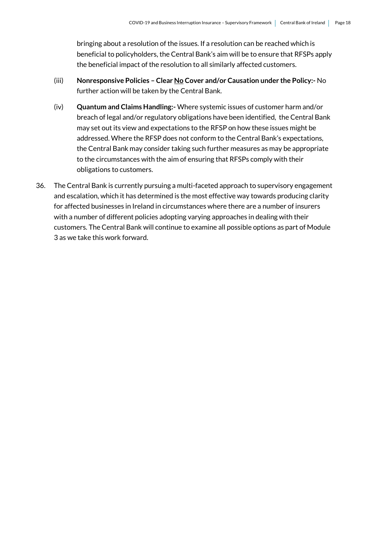bringing about a resolution of the issues. If a resolution can be reached which is beneficial to policyholders, the Central Bank's aim will be to ensure that RFSPs apply the beneficial impact of the resolution to all similarly affected customers.

- (iii) **Nonresponsive Policies – Clear No Cover and/or Causation under the Policy:-** No further action will be taken by the Central Bank.
- (iv) **Quantum and Claims Handling:-** Where systemic issues of customer harm and/or breach of legal and/or regulatory obligations have been identified, the Central Bank may set out its view and expectations to the RFSP on how these issues might be addressed. Where the RFSP does not conform to the Central Bank's expectations, the Central Bank may consider taking such further measures as may be appropriate to the circumstances with the aim of ensuring that RFSPs comply with their obligations to customers.
- 36. The Central Bank is currently pursuing a multi-faceted approach to supervisory engagement and escalation, which it has determined is the most effective way towards producing clarity for affected businesses in Ireland in circumstances where there are a number of insurers with a number of different policies adopting varying approaches in dealing with their customers. The Central Bank will continue to examine all possible options as part of Module 3 as we take this work forward.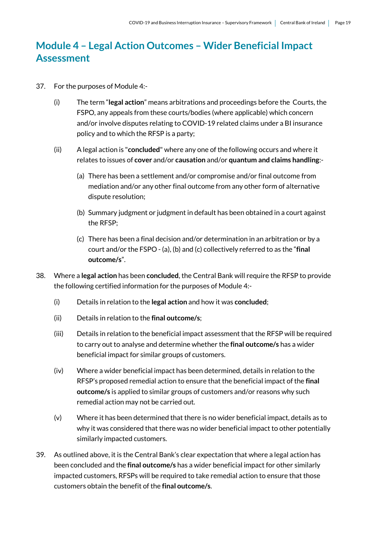## <span id="page-18-0"></span>**Module 4 – Legal Action Outcomes – Wider Beneficial Impact Assessment**

- 37. For the purposes of Module 4:-
	- (i) The term "**legal action**" means arbitrations and proceedings before the Courts, the FSPO, any appeals from these courts/bodies (where applicable) which concern and/or involve disputes relating to COVID-19 related claims under a BI insurance policy and to which the RFSP is a party;
	- (ii) A legal action is "**concluded**" where any one of the following occurs and where it relates to issues of **cover** and/or **causation** and/or **quantum and claims handling**:-
		- (a) There has been a settlement and/or compromise and/or final outcome from mediation and/or any other final outcome from any other form of alternative dispute resolution;
		- (b) Summary judgment or judgment in default has been obtained in a court against the RFSP;
		- (c) There has been a final decision and/or determination in an arbitration or by a court and/or the FSPO - (a), (b) and (c) collectively referred to as the "**final outcome/s**".
- 38. Where a **legal action** has been **concluded**, the Central Bank will require the RFSP to provide the following certified information for the purposes of Module 4:-
	- (i) Details in relation to the **legal action** and how it was **concluded**;
	- (ii) Details in relation to the **final outcome/s**;
	- (iii) Details in relation to the beneficial impact assessment that the RFSP will be required to carry out to analyse and determine whether the **final outcome/s** has a wider beneficial impact for similar groups of customers.
	- (iv) Where a wider beneficial impact has been determined, details in relation to the RFSP's proposed remedial action to ensure that the beneficial impact of the **final outcome/s** is applied to similar groups of customers and/or reasons why such remedial action may not be carried out.
	- (v) Where it has been determined that there is no wider beneficial impact, details as to why it was considered that there was no wider beneficial impact to other potentially similarly impacted customers.
- 39. As outlined above, it is the Central Bank's clear expectation that where a legal action has been concluded and the **final outcome/s** has a wider beneficial impact for other similarly impacted customers, RFSPs will be required to take remedial action to ensure that those customers obtain the benefit of the **final outcome/s**.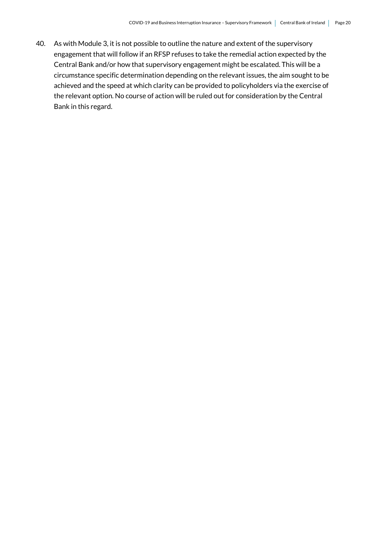40. As with Module 3, it is not possible to outline the nature and extent of the supervisory engagement that will follow if an RFSP refuses to take the remedial action expected by the Central Bank and/or how that supervisory engagement might be escalated. This will be a circumstance specific determination depending on the relevant issues, the aim sought to be achieved and the speed at which clarity can be provided to policyholders via the exercise of the relevant option. No course of action will be ruled out for consideration by the Central Bank in this regard.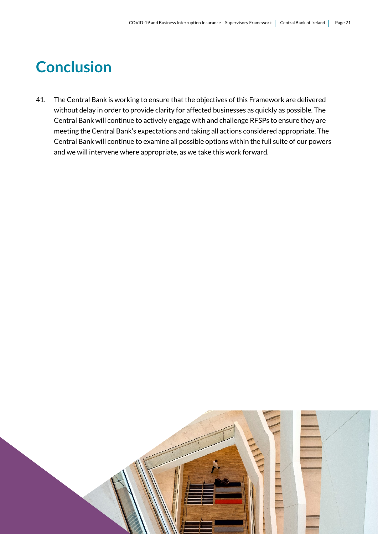## <span id="page-20-0"></span>**Conclusion**

41. The Central Bank is working to ensure that the objectives of this Framework are delivered without delay in order to provide clarity for affected businesses as quickly as possible. The Central Bank will continue to actively engage with and challenge RFSPs to ensure they are meeting the Central Bank's expectations and taking all actions considered appropriate. The Central Bank will continue to examine all possible options within the full suite of our powers and we will intervene where appropriate, as we take this work forward.